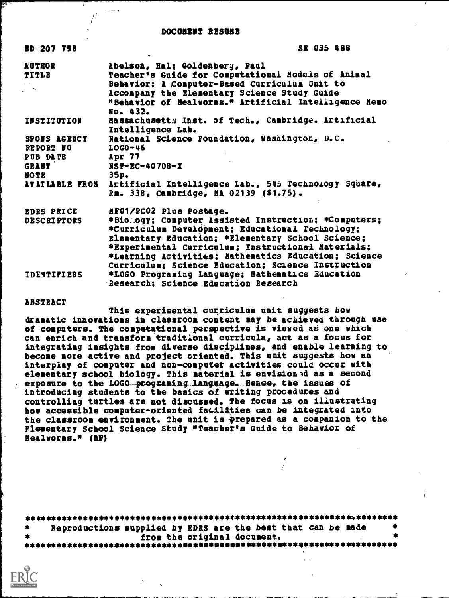#### DOCONENT RESULT

| <b>BD 207 798</b>                                            | SE 035 488                                                                                                                                                                                                                                                                                                                                                   |
|--------------------------------------------------------------|--------------------------------------------------------------------------------------------------------------------------------------------------------------------------------------------------------------------------------------------------------------------------------------------------------------------------------------------------------------|
| <b>A'UTHOR</b><br>TITLE                                      | Abelson, Hal; Goldenberg, Paul<br>Teacher's Guide for Computational Models of Animal<br>Behavior: A Computer-Based Curriculum Unit to<br>Accompany the Elementary Science Study Guide<br>"Behavior of Healworms." Artificial Intelligence Hemo                                                                                                               |
| <b>INSTITUTION</b>                                           | No. 432.<br>Hassachusetts Inst. of Tech., Cambridge. Artificial<br>Intelligence Lab.                                                                                                                                                                                                                                                                         |
| SPONS AGENCY<br>REPORT NO<br><b>PUB DATE</b><br><b>GRANT</b> | National Science Foundation, Washington, D.C.<br>$LOGO-46$<br>Apr 77<br>NSP-BC-40708-X                                                                                                                                                                                                                                                                       |
| <b>NOTE</b>                                                  | 35p.<br>AVAILABLE PROM Artificial Intelligence Lab., 545 Technology Square,<br>Rm. 338, Cambridge, MA 02139 (\$1.75).                                                                                                                                                                                                                                        |
| <b>EDRS PRICE</b><br><b>DESCRIPTORS</b>                      | HF01/PC02 Plus Postage.<br>*Biology; Computer Assisted Instruction; *Computers;<br>*Curriculum Development; Educational Technology;<br>Elementary Education; *Elementary School Science;<br>*Experimental Curriculum; Instructional Materials;<br>*Learning Activities; Mathematics Education; Science<br>Curriculum; Science Education; Science Instruction |
| <b>IDENTIFIERS</b>                                           | *LOGO Programing Language; Nathematics Education<br>Research; Science Education Research                                                                                                                                                                                                                                                                     |

#### ABSTRACT

This experimental curriculum unit suggests how dramatic innovations in classrooa content may be achieved through use of computers. The computational perspective is viewed as one which can enrich and transform traditional curricula, act as a focus for integrating insights from diverse disciplines, and enable learning to become more active and project oriented. This unit suggests how an interplay of computer and non-computer activities could occur with elementary school biology. This material is envisioned as a second exposure to the LOGO-programing language. Hence, the issues of introducing students to the basics of writing procedures and controlling turtles are not discussed. The focus is on illustrating how accessible computer-oriented facilaties can be integrated into the classroom environment. The unit is prepared as a companion to the Flesentary School Science Study "Teacher's Guide to Behavior of Mealworms." (RP)

| - 1861 | Reproductions supplied by EDRS are the best that can be made |  |  |  |
|--------|--------------------------------------------------------------|--|--|--|
|        | from the original document.                                  |  |  |  |
|        |                                                              |  |  |  |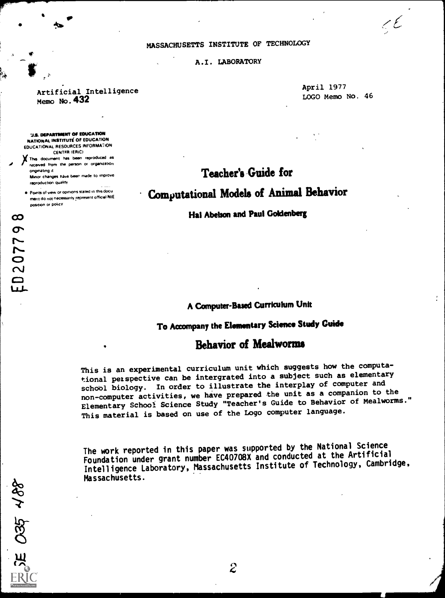### MASSACHUSETTS INSTITUTE OF TECHNOLOGY

A.I. LABORATORY

## Artificial Intelligence Memo No. 432

**U.S. DEPARTMENT OF EDUCATION** NATIONAL INSTITUTE OF EDUCATION EDUCATIONAL RESOURCES INFORMATION CENTFR IERICI XThis document has been reproduced as received from the person or organization

Mawr changes have been made to improve

Points of view or opinions stated in this docu ment do not necessanly represent official NIE

onginating it

reproduction quality

position or policy

 $\mathcal{P}$  and the set of  $\mathcal{P}$ 

April 1977 LOGO Memo No. 46  $\epsilon$ 

# Teacher's Guide for

Computational Models of Animal Behavior

Hal Abelson and Paul Goldenberg

 $350, 488$ 

# AComputer-Based Curriculum Unit

# To Accompany the Elementary Science Study Guide

# Behavior of Mealworms

This is an experimental curriculum unit which suggests how the computational perspective can be intergrated into a subject such as elementary school biology. In order to illustrate the interplay of computer and non-computer activities, we have prepared the unit as a companion to the Elementary School Science Study "Teacher's Guide to Behavior of Mealworms." This material is based on use of the Logo computer language.

The work reported in this paper was supported by the National Science Foundation under grant number EC40708X and conducted at the Artificial Intelligence Laboratory, Massachusetts Institute of Technology, Cambridge, Massachusetts.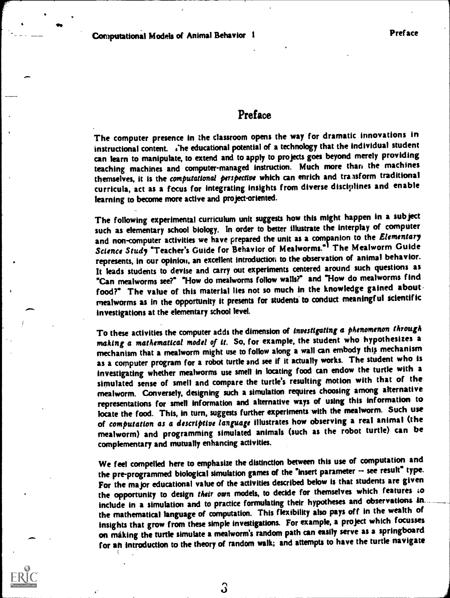**IP IP** 

# Preface

The computer presence in the classroom opens the way for dramatic innovations in instructional content. The educational potential of a technology that the individual student can learn to manipulate, to extend and to apply to projects goes beyond merely providing teaching machines and computer-managed instruction. Much more than the machines themselves, it is the computational perspective which can enrich and transform traditional curricula, act as a focus for integrating insights from diverse disciplines and enable learning to become more active and project-oriented.

The following experimental curriculum unit suggests how this might happen in a subject such as elementary school biology. In order to better illustrate the interplay of computer and non-computer activities we have prepared the unit as a companion to the Elementary Science Study "Teacher's Guide for Behavior of Mealworms.<sup>01</sup> The Mealworm Guide represents, in our opinion, an excellent introduction to the observation of animal behavior. It leads students to devise and carry out experiments centered around such questions as "Can mealworms see?" "How do mealworms follow wails?" and "How do mealworms find food?" The value of this material lies not so much in the knowledge gained about. mealworms as in the opportunity it presents for students to conduct meaningful scientific investigations at the elementary school level.

To these activities the computer adds the dimension of investigating a phenomenon through making a mathematical model of it. So, for example, the student who hypothesizes a mechanism that a mealworm might use to follow along a wall can embody this mechanism as a computer program for a robot turtle and see if it actually works. The student who is investigating whether mealworms use smell in locating food can endow the turtle with a simulated sense of smell and compare the turtle's resulting motion with that of the mealworm. Conversely, designing such a simulation requires choosing among alternative representations for smell information and alternative ways of using this information to locate the food. This, in turn, suggests further experiments with the mealworm. Such use of computation as a descriptive language illustrates how observing a real animal (the mealworm) and programming simulated animals (such as the robot turtle) can be complementary and mutually enhancing activities.

We feel compelled here to emphasize the distinction between this use of computation and the pre-programmed biological simulation games of the "insert parameter  $-$  see result" type. For the major educational value of the activities described below is that students are given the opportunity to design their own models, to decide for themselves which features to include in a simulation and to practice formulating their hypotheses and observations in the mathematical language of computation. This flexibility also pays off in the wealth of insights that grow from these simple investigations. For example, a project which focusses on making the turtle simulate a mealworm's random path can easily serve as a springboard for an introduction to the theory of random walk; and attempts to have the turtle navigate



3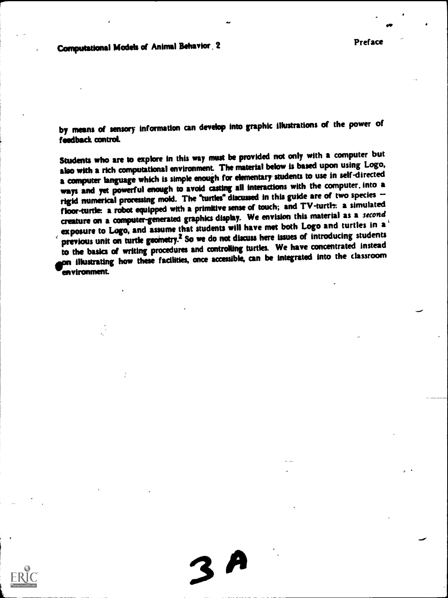Computational Models of Animal Behavior 2 **Preface** 

by means of sensory information can develop into graphic illustrations of the power of feedback control.

Students who are to explore in this way must be provided not only with a computer but also with a rich computational environment. The material below is based upon using Logo, a computer language which is simple enough for elementary students to use in self-directed ways and yet powerful enough to avoid casting all interactions with the computer. into a rigid numerical processing mold. The "turtles" discussed in this guide are of two species floor-turtle a robot equipped with a primitive sense of touch; and TV-turtle: a simulated creature on a computer-generated graphics display. We envision this material as a second exposure to Logo, and assume that students will have met both Logo and turtles in a' previous unit on turtle geometry.<sup>2</sup> So we do not discuss here issues of introducing students to the basics of writing procedures and controlling turtles. We have concentrated instead on illustrating how these fadlities, once accessible, can be integrated into the classroom wenvironment.

 $3A$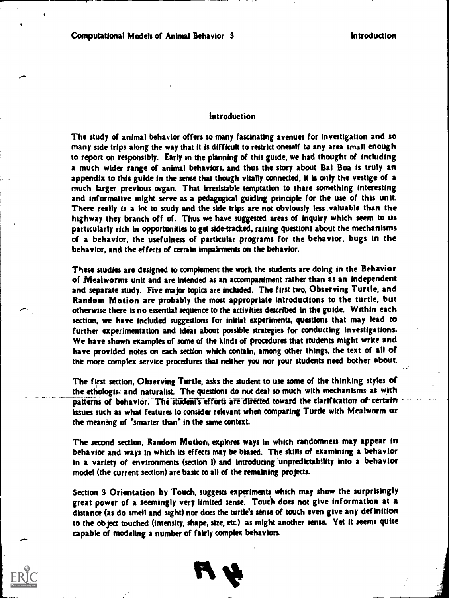### Introduction

The study of animal behavior offers so many fascinating avenues for investigation and so many side trips along the way that it is difficult to restrict oneself to any area small enough to report on responsibly. Early in the planning of this guide, we had thought of including a much wider range of animal behaviors, and thus the story about Bal Boa is truly an appendix to this guide in the sense that though vitally connected, it is only the vestige of a much larger previous organ. That irresistable temptation to share something interesting and informative might serve as a pedagogical guiding principle for the use of this unit. There really is a lot to study and the side trips are not obviously less ,valuable than the highway they branch off of. Thus we have suggested areas of inquiry which seem to us particularly rich in opportunities to get side-tracked, raising questions about the mechanisms of a behavior, the usefulness of particular programs for the behavior, bugs in the behavior, and the effects of certain impairments on the behavior.

These studies are designed to complement the work the students are doing in the Behavior of ,Mealworms unit and are intended as an accompaniment rather than as an independent and separate study. Five major topics are included. The first two, Observing Turtle, and Random Motion are probably the most appropriate introductions to the turtle, but otherwise there is no essential sequence to the activities described in the guide. Within each section, we have included suggestions for initial experiments, questions that may lead to further experimentation and ideas about possible strategies for conducting investigations. We have shown examples of some of the kinds of procedures that students might write and have provided notes on each section which contain, among other things, the text of all of the more complex service procedures that neither you nor your students need bother about.

The first section, Observing Turtle, asks the student to use some of the thinking styles of the ethologisc and naturalist. The questions do nut deal so much with mechanisms as with patterns of behavior. The student's efforts are directed toward the clarification of certain issues such as what features to consider relevant when comparing Turtle with Mealworm or the meaning of "smarter than" in the same context.

The second section, Random Motion, explores ways in which randomness may appear in behavior and ways in which its effects may be biased. The skills of examining a behavior in a variety of environments (section I) and introducing 'unpredictability into a behavior model (the current section) are basic to all of the remaining projects.

Section 3 Orientation by Touch, suggests experiments which may show the surprisingly great power of a seemingly very limited sense. Touch does not give information at a distance (as do smell and sight) nor does the turtle's sense of touch even give any definition to the object touched (intensity, shape, size, etc.) as might another sense. Yet it seems quite capable of modeling a number of fairly complex behaviors.

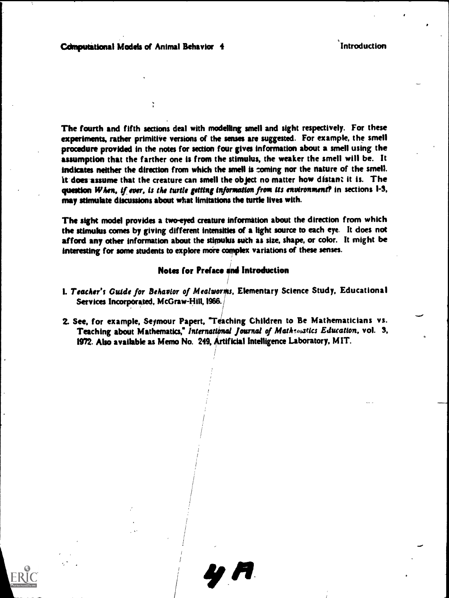The fourth and fifth sections deal with modelling smell and sight respectively. For these experiments, rather primitive versions of the senses are suggested. For example, the smell procedure provided in the notes for section four gives information about a smell using the assumption that the farther one is from the stimulus, the weaker the smell will be. It indicates neither the direction from which the smell is coming nor the nature of the smell. it-does-assume that the creature can smell the object no matter how distant it is. The question When, if ever, is the turtle getting information from its environment? in sections  $1-3$ , may stimulate discussions about what limitations the turtle lives with.

The sight model provides a two-eyed creature information about the direction from which the stimulus comes by giving different intensities of a light source to each eye. It does not afford any other information about the stimulus such as size, shape, or color. It might be interesting for some students to explore more complex variations of these senses.

## Notes for Preface and Introduction

L. Teacher's Guide for Behavior of Mealworms, Elementary Science Study, Educational Services Incorporated, McGraw-Hill, 1966.

/

2. See, for example, Seymour Papert, 'Teaching Children to Be Mathematicians vs. Teaching about Mathematics," International Journal of Mathematics Education, vol. 3, 1972. Also available as Memo No. 249, Artificial Intelligence Laboratory, MIT.

> $\frac{1}{1}$ 1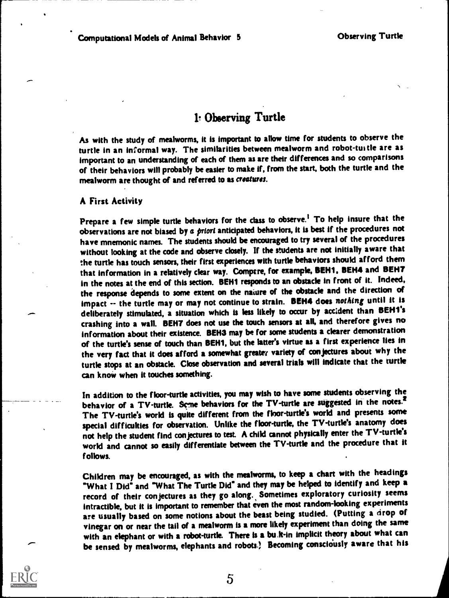$S_{\rm{max}}$ 

# 1' Observing Turtle

As with the study of mealworms, it is important to allow time for students to observe the turtle in an informal way. The similarities between mealworm and robot-tuitle are as important to an understanding of each of them as are their differences and so comparisons of their behaviors will probably be easier to make if, from the start, both the turtle and the rnealworm are thought of and referred to as croatures.

## A First Activity

.........

Prepare a few simple turtle behaviors for the class to observe.<sup>1</sup> To help insure that the observations are not biased by a priori anticipated behaviors, it is best if the procedures not have mnemonic names. The students should be encouraged to try several of the procedures without looking at the code and observe closely. If the students are not initially aware that the turtle has touch sensors, their first experiences with turtle behaviors should afford them that information in a relatively clear way. Compere, for example, BEH1, BEH4 and BENT in the notes at the end of this section. BEH1 responds to an obstacle in front of it. Indeed, the response depends to some extent on the naiure of the obstacle and the direction of impact -- the turtle may or may not continue to strain. BEH4 does nothing until it is deliberately stimulated, a situation which is less likely to occur by accident than BEH1's crashing into a wall. BEM' does not use the touch sensors at all, and therefore gives no information about their existence. BENS may be for some students a clearer demonstration of the turtle's sense of touch than BEH1, but the latter's virtue as a first experience lies in the very fact that it does afford a somewhat greater variety of conjectures about why the turtle stops at an obstacle. Close observation and several trials will indicate that the turtle can know when it touches something.

In addition to the floor-turtle activities, you may wish to have some students observing the behavior of a TV-turtle. Some behaviors for the TV-turtle are suggested in the notes.<sup>2</sup> The TV-turtle's world is quite different from the floor-turtle's world and presents some special difficulties for observation. Unlike the floor-turtle, the TV-turtle's anatomy does not help the student find conjectures to test. A child cannot physically enter the TV- turtle's world and cannot so easily differentiate between the TV-turtle and the procedure that it follows.

Children may be encouraged, as with the mealworms, to keep a chart with the headings "What I Did" and "What The Turtle Did" and they may be helped to identify and keep a record of their conjectures as they go along., Sometimes exploratory curiosity seems intractible, but it is important to remember that even the most random-looking experiments are usually based on some notions about the beast being studied. (Putting a drop of vinegar on or near the tail of a mealworm is a more likely experiment than doing the same with an elephant or with a robot-turtle. There is a bu,k-in implicit theory about what can be sensed by mealworms, elephants and robots? Becoming consciously aware that his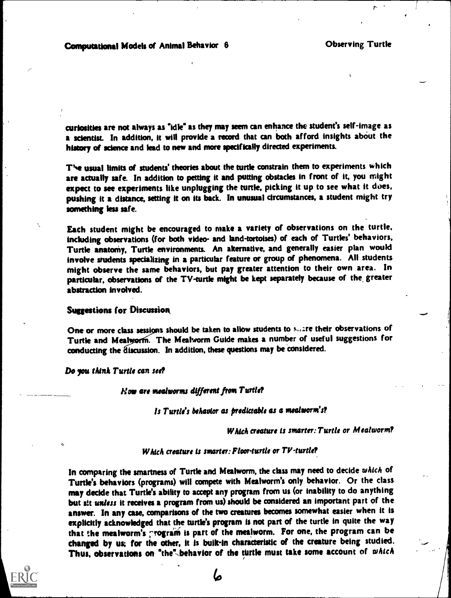curiosities are not always as 'Idle\* as they may seem can enhance the student's self-image as a scientist. In addition, it will provide a record that can both afford insights about the history of science and lead to new and more specifically directed experiments.

T'e usual limits of students' theories about the turtle constrain them to experiments which are actually safe. In addition to petting it and putting obstacles in front of it, you might expect to see experiments like unplugging the turtle, picking it up to see what it does, pushing it a distance, setting it on its back. In unusual circumstances, a student might try something less safe.

Each student might be encouraged to make a variety of observations on the turtle. including observations (for both video- and land-tortoises) of each of Turtles' behaviors, Turtle anatomy, Turtle environments. An akernative, and generally easier plan would involve students specializing in a particular feature or group of phenomena. All students might observe the same behaviors, but pay greater attention to their own area. In particular, observations of the TV-turtle might be kept separately because of the greater abstraction involved.

### Suggestions for Discussion

One or more class sessions should be taken to allow students to suare their observations of Turtle and Mealworm. The Mealworm Guide makes a number of useful suggestions for conducting the discussion. In addition, these questions may be considered.

Do you think Turtle can see?

 $H$ ow are mealworms different from Turtle?

Is Turtle's behavior as predictable as a mealworm's?

Which creature is smarter: Turtle or Mealworm?

### Which creature is smarter: Floor-turtle or  $TV$ -turtle?

In comparing the smartness of Turtle and Mealworm, the class may need to decide which of Turtle's behaviors (programs) will compete with Mealworm's only behavior. Or the class may decide that Turtle's ability to accept any program from us (or inability to do anything but sit unless it receives a program from us) should be considered an important part of the answer. In any case, comparisons of the two creatures becomes somewhat easier when it is explicitly acknowledged that the turtle's program is not part of the turtle in quite the way that the mealworm's grogram is part of the mealworm. For one, the program can be changed by us; for the other, it is bulk -in characteristic of the creature being studied. Thus, observations on "the" behavior of the turtle must take some account of which

 $\boldsymbol{b}$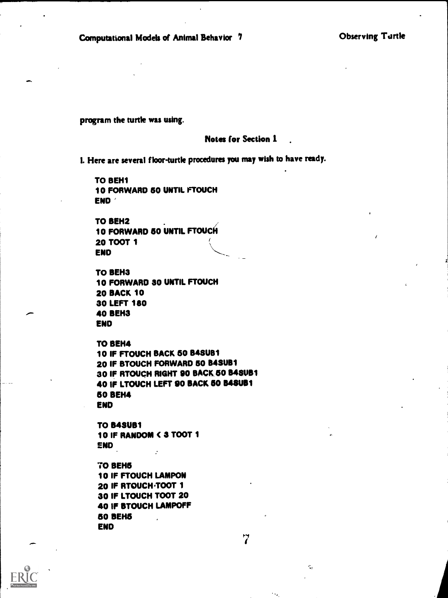program the turtle was using.

### Notes for Section 1

L Here are several floor-turtle procedures you may wish to have ready.

TO BEH1 10 FORWARD 50 UNTIL FTOUCH END

TO BEH2  $\qquad \qquad$ 10 FORWARD 50 UNTIL FTOUCFI **20 TOOT 1**<br>END END  $\qquad \qquad \qquad$ 

```
TO BEH3
10 FORWARD 30 UNTIL FTOUCH
20 BACK 10
30 LEFT 180
40 BEH3
END
```
TO BEH4

10 IF FTOUCH BACK 60 B48U81 20 IF BTOUCH FORWARD 60 B4SUB1 30 IF RTOUCH RIGHT 90 BACK 50 B48UB1 40 IF LTOUCH LEFT 90 BACK 50 848UB1 60 BEH4 END

TO B48U8 I 10 IF RANDOM < 3 TOOT 1 END

70 BEH5 10 IF FTOUCH LAMPON 20 IF RTOUCH TOOT 1 30 IF LTOUCH TOOT 20 40 IF BTOUCH LAMPOFF ao BEH5 END

 $\overline{7}$ 

e.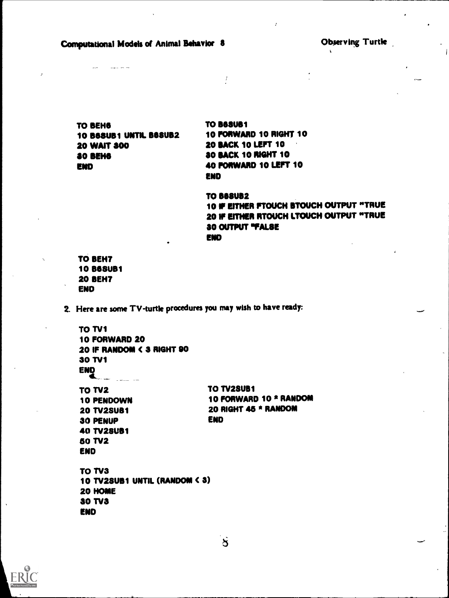Computational Models of Animal Behavior 8 Observing Turtle

...

TO BEND 10 B68UB1 UNTIL B68UB2 20 WAIT 300 30 BEM END

**TO B68UB1** 10 FORWARD 10 RIGHT 10 20 BACK 10 LEFT 10 30 BACK 10 RIGHT 10 40 FORWARD 10 LEFT 10 END

 $\frac{1}{2}$ 

**TO B68UB2** 10 IF EITHER FTOUCH BTOUCH OUTPUT "TRUE 20 IF EITHER RTOUCH LTOUCH OUTPUT "TRUE 30 OUTPUT "FALSE END

TO BEHT 10 B0SUB1 20 BEHT END

2. Here are some TV-turtle procedures you may wish to have ready:

TO TV1 10 FORWARD 20 20 IF RANDOM ( 3 RIGHT 90 30 TV1 END TO TV2 10 PENDOWN 20 TV2SUS1 30 PENUP 40 TV2SUB1 50 TV2 END TO TV2SUB1 10 FORWARD 10 \* RANDOM 20 RIGHT 45 \* RANDOM END TO TV3 10 TV2SU81 UNTIL (RANDOM ( a) 20 HOME **30 TV3** END

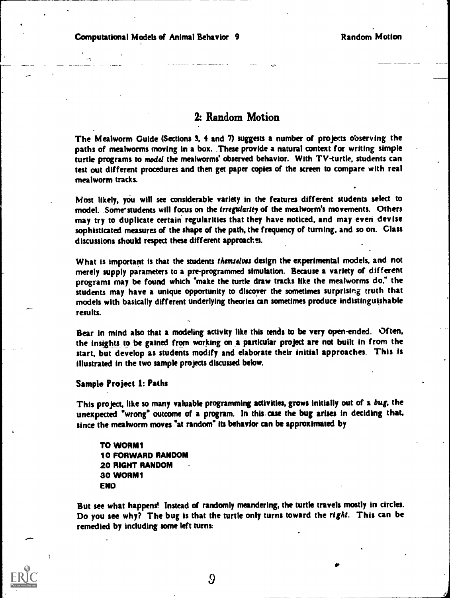# 2: Random Motion

The Mealworm Guide (Sections 3, 4 and 7) suggests a number of projects observing the paths of mealworms moving in a box. These provide a natural context for writing simple turtle programs to model the mealworms' observed behavior. With TV-turtle, students can test out different procedures and then get paper copies of the screen to compare with real mealworm tracks.

Most likely, you will see considerable variety in the features different students select to model. Some students will focus on the irregularity of the mealworm's movements. Others may try to duplicate certain regularities that they have noticed, and may even devise sophisticated measures of the shape of the path, the frequency of turning, and so on. Class discussions should respect these different approaches.

What is important is that the students themselves design the experimental models, and not merely supply parameters to a pre-programmed simulation. Because a variety of different programs may be found which "make the turtle draw tracks like the mealworms do." the students may have a unique opportunity to discover the sometimes surprising truth that models with basically different underlying theories can sometimes produce indistinguishable results.

Bear in mind also that a modeling activity like this tends to be very open-ended. Often, the insights to be gained from working on a particular project are not built in from the start, but develop as students modify and elaborate their initial approaches. This is illustrated in the two sample projects discussed below.

### Sample Project 1: Paths

This project, like so many valuable programming activities, grows initially out of a bug, the unexpected "wrong" outcome of a program. In this case the bug arises in deciding that, since the mealworm moves "at random" its behavior can be approximated by

TO WORM1 10 FORWARD RANDOM 20 RIGHT RANDOM 30 WORM1 END

But see what happens! Instead of randomly meandering, the turtle travels mostly in circles. Do you see why? The bug is that the turtle only turns toward the right. This can be remedied by including some left turns:



9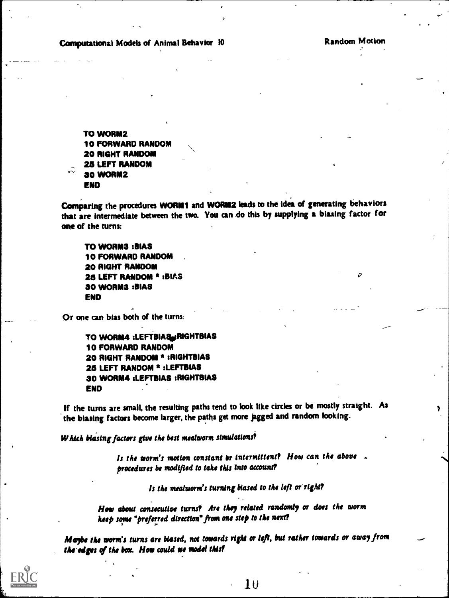Random Motion

Computational Models of Animal Behavior 10

TO WORM2 10 FORWARD RANDOM 20 RIGHT RANDOM 26 LEFT RANDOM 30 WORM2 E ND

Comparing the procedures WORM1 and WORM2 leads to the idea of generating behaviors that are intermediate between the two. You can do this by supplying a biasing factor for one of the turns:

TO WORM3 :BIAS 10 FORWARD RANDOM 20 RIGHT RANDOM 25 LEFT RANDOM \* :BIAS 30 WORM3 :BIAS END

Or one can bias both of the turns:

TO WORM4 : LEFTBIAS RIGHTBIAS 10 FORWARD RANDOM 20 RIGHT RANDOM \* :RIGHTBIAS 25 LEFT RANDOM \* :LEFTBIAS 30 WORM4 :LEFTBIAS :RIGHTBIAS END

If the turns are small, the resulting paths tend to look like circles or be mostly straight. As the biasing factors become larger, the paths get more jagged and random looking.

Which blasing factors give the best mealworm simulations?

Is the worm's motion constant or intermittent? How can the above . procedures be modified to take this into account?

Is the mealworm's turning biased to the left or right?

How about consecutive turns? Are they related randomly or does the worm heep some "preferred direction" from one step to the next?

Maybe the worm's turns are biased, not towards right or left, but rather towards or away from the edges of the box. How could we model this?

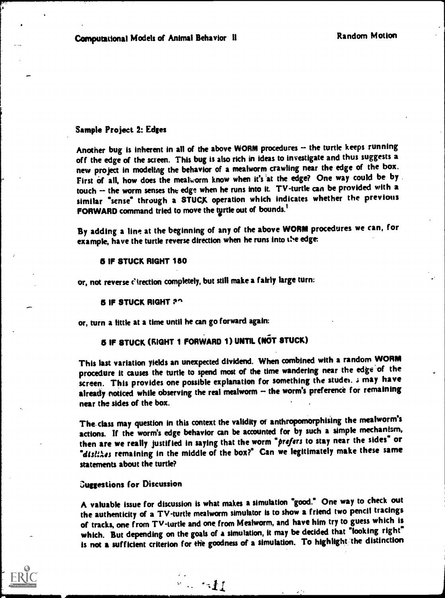### Sample Project 2: Edges

Another bug is inherent in all of the above WORM procedures -- the turtle keeps running off the edge of the screen. This bug is also rich in ideas to investigate and thus suggests a new project in modeling the behavior of a mealworm crawling near the edge of the box. First of all, how does the mealworm know when it's at the edge? One way could be by . touch -- the worm senses the edge when he runs into it. TV-turtle can be provided with a similar "sense" through a STUCK operation which indicates whether the previous FORWARD command tried to move the turtle out of bounds.<sup>1</sup>

By adding a line at the beginning of any of the above WORM procedures we can, for example, have the turtle reverse direction when he runs into t'e edge:

### 5 IF STUCK RIGHT 180

or, not reverse c'irection completely, but still make a fairly large turn:

### **6 IF STUCK RIGHT ?^**

or, turn a tittle at a time until he can go forward again:

# **6 IF STUCK (RIGHT 1 FORWARD 1) UNTIL (NOT STUCK)**

 $\mathbb{R}^2 \times \mathcal{M}$ 

This last variation yields an unexpected dividend. When combined with a random WORM procedure it causes the turtle to spend most of the time wandering near the edge of the screen. This provides one possible explanation for something the studei. ; may have already noticed while observing the real mealworm  $-$  the worm's preference for remaining near the sides of the box.

The, class may question in this context the validity of anthropomorphising the mealworm's actions. If the worm's edge behavior can be accounted for by such a simple mechanism, then are we really justified in saying that the worm "prefers to stay near the sides" or "dislikes remaining in the middle of the box?" Can we legitimately make these same statements about the turtle?

### suggestions for Discussion

A valuable issue for discussion is what makes a simulation 'good." One way to check out the authenticity of a TV-turtle mealworm simulator is to show a friend two pencil tracings of tracks, one from Tv-turtle and one from Mealworm, and have him try to guess which is which. But depending on the goals of a simulation, it may be decided that "looking right" is not a sufficient criterion for the goodness of a simulation. To highlight 'the distinction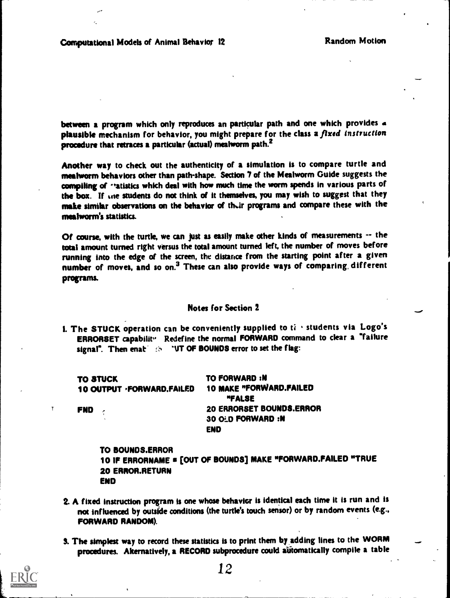between a program which only reproduces an particular path and one which provides a plausible mechanism for behavior, you might prepare for the class a fixed instruction procedure that retraces a particular (actual) mealworm path.<sup>2</sup>

Another way to check out the authenticity of a simulation is to compare turtle and meahvorm behaviors other than path-shape. Section '1 of the Mealworm Guide suggests the compiling of ratistics which deal with how much time the worm spends in various parts of the box. If ane students do not think of it themselves, you may wish to suggest that they make similar observations on the behavior of their programs and compare these with the mealworm's statistics.

Of course, with the turtle, we can just as easily make other kinds of measurements -- the total amount turned right versus the total amount turned left, the number of moves before running into the edge of the screen, the distance from the starting point after a given number of moves, and so on.<sup>3</sup> These can also provide ways of comparing, different programs.

## Notes for Section 2

1. The STUCK operation can be conveniently supplied to  $t_i$  is students via Logo's ERRORSET capabilit<sup>1</sup> Redefine the normal FORWARD command to clear a "failure signal". Then enat' is : "UT OF BOUNDS error to set the flag:

| <b>TO STUCK</b><br>10 OUTPUT · FORWARD. FAILED | <b>TO FORWARD:N</b><br><b>10 MAKE "FORWARD.FAILED</b><br>"FALSE |
|------------------------------------------------|-----------------------------------------------------------------|
| <b>FND</b>                                     | 20 ERRORSET BOUNDS.ERROR                                        |
| $\sim$                                         | <b>30 OLD FORWARD:N</b>                                         |
|                                                | <b>END</b>                                                      |

TO SOUNDS.ERROR 10 IF ERRORNAME s [OUT OF BOUNDS] MAKE "FORWARD.FAILED "TRUE 20 ERROR.RETURN END

- 2. A fixed instruction program is one whose behavior is identical each time it is run and is not influenced by outside conditions (the turtle's touch sensor) or by random events (e.g., FORWARD RANDOM).
- S. The simplest way to record these statistics is to print them by adding lines to the WORM procedures. Alternatively, a RECORD subprocedure could automatically compile a table

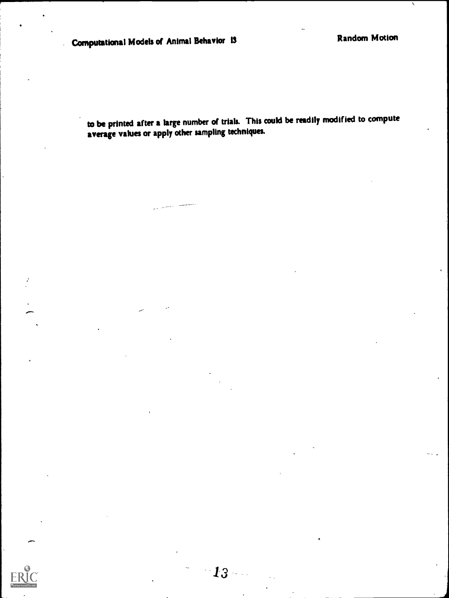to be printed after a large number of trials. This could be readily modified to compute average values or apply other sampling techniques.

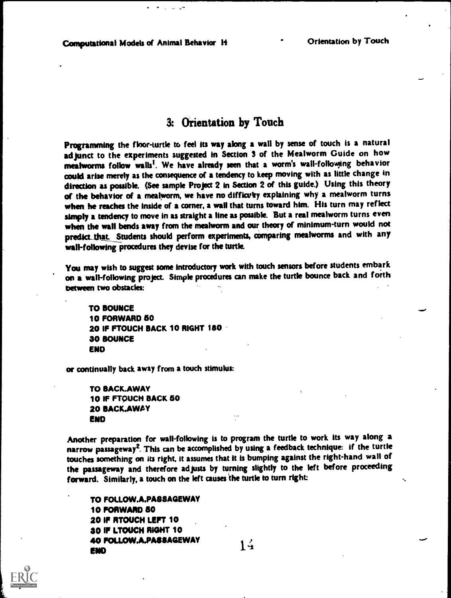# 3: Orientation by Touch

Programming the floor-turtle to feel its way along a wall by sense of touch is a natural adjunct to the experiments suggested in Section 3 of the Mealworm Guide on how mealworms follow walls<sup>I</sup>. We have already seen that a worm's wall-following behavior could arise merely as the consequence of a tendency to keep moving with as little change in direction as possible. (See sample Project 2 in Section 2 of this guide.) Using this theory of the behavior of a mealworm, we have no difficulty explaining why a mealworm turns when he reaches the inside of a corner, a wall that turns toward him. His turn may reflect simply a tendency to move in as straight a line as possible. But a real mealworm turns even when the wall bends away from the mealworm and our theory of minimum-turn would not predict\_that. Students should perform experiments, comparing mealworms and with any wall-following procedures they devise for the turtle.

You may wish to suggest some introductory work with touch sensors before students embark on a wall-following project. Simple procedures can make the turtle bounce back and forth between two obstacles:

TO BOUNCE 10 FORWARD 50 20 IF FTOUCH BACK 10 RIGHT 180 30 BOUNCE ENO

or continually back away from a touch stimulus:

TO BACK.AWAY 10 IF FTOUCH BACK 50 20 BACK.AWAY END

Another preparation for wall-following is to program the turtle to work its way along a narrow passageway2. This can be accomplished by using a feedback technique: if the turtle touches something on its right, it assumes that it is bumping against the right-hand wall of the passageway and therefore adjusts by turning slightly to the left before proceeding forward. Similarly, a touch on the left causes the turtle to turn right

TO FOLLOW.A.PASSAGEWAY 10 FORWARD 50 20 IF RTOUCH LEFT 10 30 IF LTOUCH RIGHT 10 40 FOLLOW.A.PASSAGEWAY 14 END 1

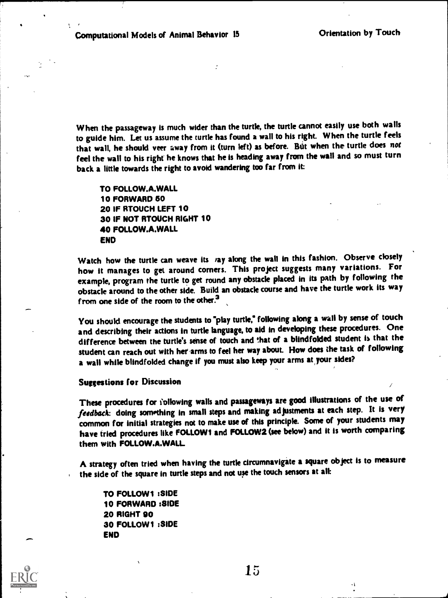When the passageway is much wider than the turtle, the turtle cannot easily use both walls to guide him. Let us assume the turtle has found a wall to his right. When the turtle feels that wall, he should veer away from it (turn left) as before. But when the turtle does not feel the wall to his right he knows that he is heading away from the wall and so must turn back a little towards the right to avoid wandering too far from it:

TO FOLLOW.A.WALL 10 FORWARD 60 20 IF RTOUCH LEFT 10 30 IF NOT RTOUCH RIGHT 10 40 FOLLOW.A.WALL END

Watch how the turtle can weave its vay along the wall in this fashion. Observe closely how it manages to get around corners. This project suggests many variations. For example, program the turtle to get round any obstacle placed in its path by following the obstacle around to the other side. Build an obstacle course and have the turtle work its way from one side of the room to the other.<sup>3</sup>

You should encourage the students to "play turtle," following along a wall by sense of touch and describing their actions in turtle language, to aid in developing these procedures. One difference between the turtle's sense of touch and that of a blindfolded student is that the student can reach out with her arms to feel her way about. How does the task of following a wall while blindfolded change if you must also keep your arms at your sides?

### Suggestions for Discussion

These procedures for following walls and passageways are good illustrations of the use of feedback: doing something in small steps and making adjustments at each step. It is very common for initial strategies not to make use of this principle. Some of your students may have tried procedures like FOLLOWI and FOLLOW2 (see below) and it is worth comparing them with FOLLOW.A.WALL

A strategy often tried when having the turtle circumnavigate a square object is to measure the side of the square in turtle steps and not use the touch sensors at all:

TO FOLLOW1 :SIDE 10 FORWARD :SIDE 20 RIGHT 00 30 FOLLOW1 :SIDE END



15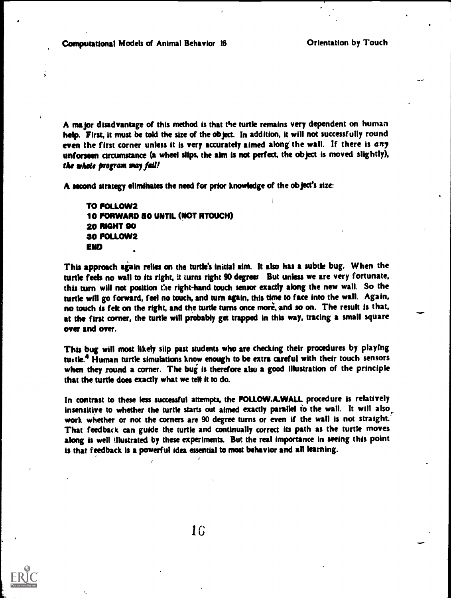Computational Models of Animal Behavior 16 **Orientation by Touch** 

A major disadvantage of this method is that the turtle remains very dependent on human help. First, it must be told the size of the object. In addition, it will not successfully round even the first corner unless it is very accurately aimed along the wall. If there is  $any$ unforseen circumstance (a wheel slips, the aim is not perfect, the object is moved slightly), the whole program may fail!

A second strategy eliminates the need for prior knowledge of the object's size

TO FOLLOW2 10 FORWARD 60 UNTIL (NOT RTOUCH) 20 RIGHT 90 30 FOLLOW2 ENO

This approach again relies on the turtle's initial aim. It also has a subtle bug. When the turtle feels no wall to its right, it turns right 90 degrees But unless we are very fortunate, this turn will not position the right-hand touch sensor exactly along the new wall. So the turtle will go forward, feel no touch, and turn again, this time to face into the wall. Again, no touch is fek on the right, and the turtle turns once more, and so on. The result is that, at the first corner, the turtle will probably get trapped in this way, tracing a small square over and over.

This bug will most likely slip past students who are checking their procedures by playing turtle.<sup>4</sup> Human turtle simulations know enough to be extra careful with their touch sensors when they round a corner. The bug is therefore also a good illustration of the principle that the turtle does exactly what we tell it to do.

In contrast to these less successful attempts, the FOLLOW.A.WALL procedure is relatively insensitive to whether the turtle starts out aimed exactly parallel to the wall. It will also work whether or not the corners are 90 degree turns or even if the wall is not straight.' That feedback can guide the turtle and continually correct its path as the turtle moves along is well illustrated by these experiments. But the real importance in seeing this point is that feedback is a powerful idea essential to most behavior and all learning.



16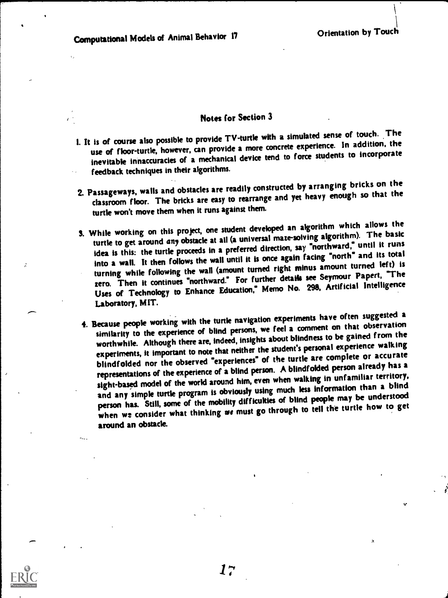$\mathbf{I}$ 

## Notes for Section 3

- 1. It is of course also possible to provide TV-turtle with a simulated sense of touch. The use of floor-turtle, however, can provide a more concrete experience. In addition, the inevitable innaccuracies of a mechanical device tend to force students to incorporate feedback techniques in their algorithms.
- 2. Passageways, walls and obstacles are readily constructed by arranging bricks on the classroom floor. The bricks are easy to rearrange and yet heavy enough so that the turtle won't move them when it runs against them.
- S. While working on this project, one student developed an algorithm which allows the turtle to get around any obstacle at all (a universal maze-solving algorithm). The basic idea is this: the turtle proceeds in a preferred direction, say "northward," until it runs into a wall. It then follows the wall until it is once again facing "north" and its total turning while following the wall (amount turned right minus amount turned left) is zero. Then it continues "northward." For further details see Seymour Papert, "The Uses of Technology to Enhance Education," Memo No. 298, Artificial Intelligence Laboratory, MIT.
- 4. Because people working with the turtle navigation experiments have often suggested a similarity to the experience of blind persons, we feel a comment on that observation worthwhile. Although there are, indeed, insights about blindness to be gained from the experiments, it important to note that neither the student's personal experience walking blindfolded nor the observed "experiences" of the turtle are complete or accurate representations of the experience of a blind person. A blindfolded person already has a sight-based model of the world around him, even when walking in unfamiliar territory, and any simple turtle program is obviously using much less information than a blind person has. Still, some of the mobility difficukies of blind people may be understood when we consider what thinking we must go through to tell the turtle how to get around an obstacle.

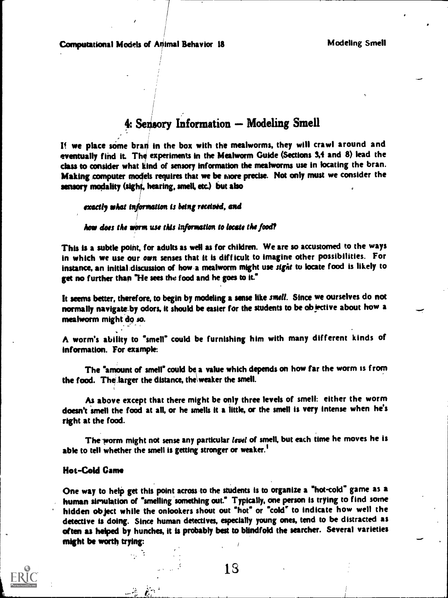# 4: Sensory Information - Modeling Smell

If we place some bran in the box with the mealworms, they will crawl around and eventually find it. The experiments in the Mealworm Guide (Sections 3,4 and 8) lead the class to consider what kind of sensory information the meahvorms use in locating the bran. Making computer models requires that we be more precise. Not only must we consider the sensory modality (sight, hearing, smell, etc.) but also

exactly what information is being received, and

how does the worm use this information to locate the food?

This is a subtle point, for adults as well as for children. We are so accustomed to the ways in which we use our own senses that it is difficult to imagine other possibilities. For instance, an initial; discussion of how a mealworm might use sight to locate food is likely to get no further than "He sees the food and he goes to it."

It seems better, therefore, to begin by modeling a sense like smell. Since we ourselves do not normally navigate-by odors, it should be easier for the students to be objective about how a meahvorm might do so.

A worm's ability to "smell" could be furnishing him with many different kinds of information. For example:

The "amount of smell" could be a value which depends on how far the worm is from the food. The larger the distance, the weaker the smell.

As above except that there might be only three levels of smell: either the worm doesn't smell the food at all, or he smells it a little, or the smell is very intense when he's right at the food.

The worm might not sense any particular level of smell, but each time he moves he is able to tell whether the smell is getting stronger or weaker.<sup>1</sup>

### Hot-Cold Came

v., 7

One way to help get this point across to the students Is to organize a "hot-cold" game as a human simulation of "smelling something out." Typically, one person is trying to find some hidden object while the onlookers shout out "hot" or "cold" to Indicate how well the detective is doing. Since human detectives, especially young ones, tend to be distracted as often as helped by hunches, it is probably best to blindfold the searcher. Several varieties might be worth trying: r



18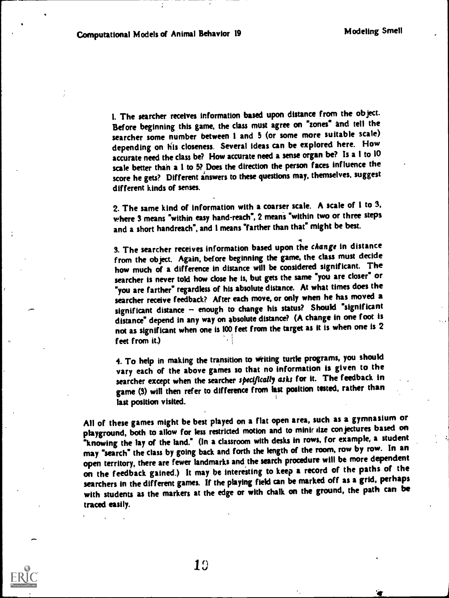4

1. The searcher receives information based upon distance from the object. Before beginning this game, the class must agree on "zones" and tell the searcher some number between I and 5 (or some more suitable scale) depending on his closeness. Several ideas can be explored here. How accurate need the class be? How accurate need a sense organ be? Is a 1 to 10 scale better than a 1 to 5? Does the direction the person faces influence the score he gets? Different answers to these questions may, themselves, suggest different kinds of senses.

2. The same kind of information with a coarser scale. A scale of 1 to 3, where 3 means "within easy hand-reach", 2 means "within two or three steps and a short handreach", and I means "farther than that" might be best.

3. The searcher receives information based upon the change in distance from the object. Again, before beginning the game, the class must decide how much of a difference in distance will be considered significant. The searcher is never told how close he is, but gets the same "you are closer" or "you are farther" regardless of his absolute distance. At what times does the searcher receive feedback? After each move, or only when he has moved a significant distance - enough to change his status? Should "significant distance" depend in any way on absolute distance? (A change in one foot is not as significant when one is 100 feet from the target as it is when one is 2 feet from it.)

4. To help in making the transition to Writing turtle programs, you should vary each of the above games so that no information is given to the searcher except when the searcher specifically asks for it. The feedback in game (3) will then refer to difference from last position tested, rather than last position visited.

All of these games might be best played on a flat open area, such as a gymnasium or playground, both to allow for less restricted motion and to minir size conjectures based on "knowing the lay of the land." (In a classroom with desks in rows, for example, a student may 'search" the class by going back and forth the length of the room, row by row. In an open territory, there are fewer landmarks and the search procedure will be more dependent on the feedback gained.) It may be interesting to keep a record of the paths of the searchers in the different games. If the playing field can be marked off as a grid, perhaps with students as the markers at the edge or with chalk on the ground, the path can be traced easily.

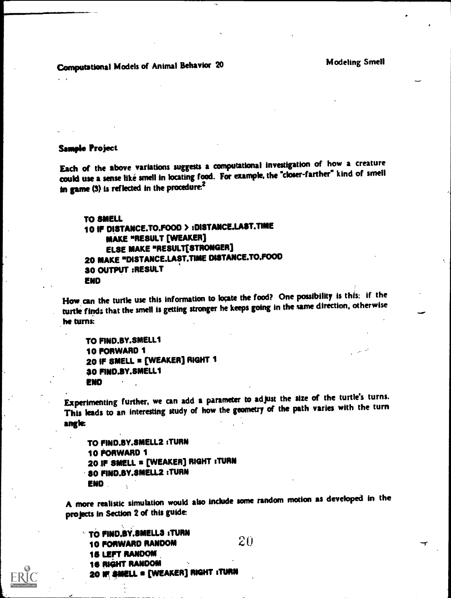Computational Models of Animal Behavior 20 Modeling Smell

### Sample Project

Each of the above variations suggests a computational Investigation of how a creature could use a sense like smell in locating food. For example, the \*closer-farther\* kind of smell in game  $(3)$  is reflected in the procedure.<sup>2</sup>

TO SMELL 10 IF DISTANCE.TO.FOOD > :DISTANCE.LAST.TIME MAKE "RESULT [WEAKER] ELSE MAKE "RESULT[STRONGER] 20 MAKE "DISTANCE.LAST.TIME DISTANCE.TO.FOOD 30 OUTPUT :RESULT END

How. the turtle use this information to locate the food? One possibility is this: if the turtle finds that the smell is getting stronger he keeps going in the same direction, otherwise he turns:

TO FIND.BY.SMELLI 10 FORWARD 1 20 IF SMELL s [WEAKER] RIGHT 1 30 FIND.BY.SMELL1 END

Experimenting further, we can add a parameter to adjust the size of the turtle's turns. This leads to an interesting study of how the geometry of the path varies with the turn angle

TO FIND.13Y.SMELL2 :TURN 10 FORWARD 1 20 IF SMELL = [WEAKER] RIGHT : TURN 30 FIND.SY.SMELL2 :TURN END

A more realistic simulation would also include some random motion as developed in the projects in Section 2 of this guide

TO FIND.BY.SMELL3 : TURN 10 FORWARD RANDOM 15 LEFT RANDOM 16 RIGHT RANDOM 20 IF SMELL = [WEAKER] RIGHT :TURN 20

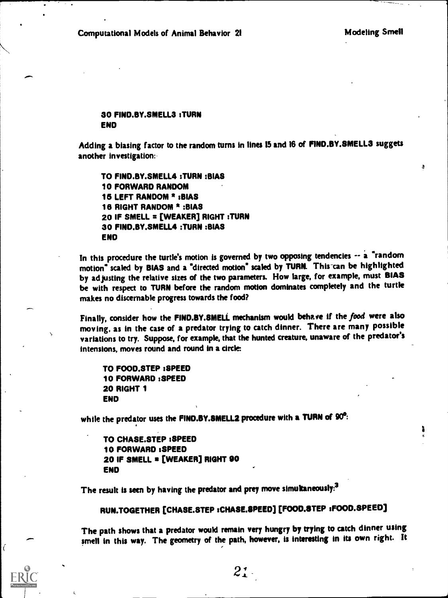$\ddot{a}$ 

### 30 FIND.BY.SMELL3 :TURN END

Adding a biasing factor to the random turns in lines 15 and 16 of FIND.BY.SMELL3 suggets another investigation:

TO FIND.BY.SMELL4 :TURN :BIAS 10 FORWARD RANDOM 15 LEFT RANDOM \* :BIAS 18 RIGHT RANDOM \* :BIAS 20 IF SMELL = [WEAKER] RIGHT : TURN 30 FIND.BY.SMELL4 :TURN :BIAS END

In this procedure the turtle's motion is governed by two opposing tendencies -- a "random motion" scaled by BIAS and a "directed motion" scaled by TURN. This-can be highlighted by adjusting the relative sizes of the two parameters. How large, for example, must BIAS be with respect to TURN before the random motion dominates completely and the turtle makes no discernable progress towards the food?

Finally, consider how the FIND.BY.SMELL mechanism would behave if the food were also moving, as in the case of a predator trying to catch dinner. There are many possible variations to try. Suppose, for example, that the hunted creature, unaware of the predator's intensions, moves round and round in a circle

TO FOOD.STEP :SPEED 10 FORWARD :SPEED 20 RIGHT 1 END

 $\mathbf{v} = \mathbf{v}$ 

while the predator uses the FIND.BY.SMELL2 procedure with a TURN of 90<sup>o</sup>:

TO CHASE.STEP :SPEED 10 FORWARD :SPEED 20 IF SMELL a [WEAKER] RIGHT 90 END

The result is seen by having the predator and prey move simultaneously:<sup>3</sup>

RUN.TOGETHER [CHASE.STEP :CHASE.SPEED] [FOOD.STEP :FOOD.SPEED]

The path shows that a predator would remain very hungry by trying to catch dinner using smell in this way. The geometry of the path, however, is interesting in its own right. It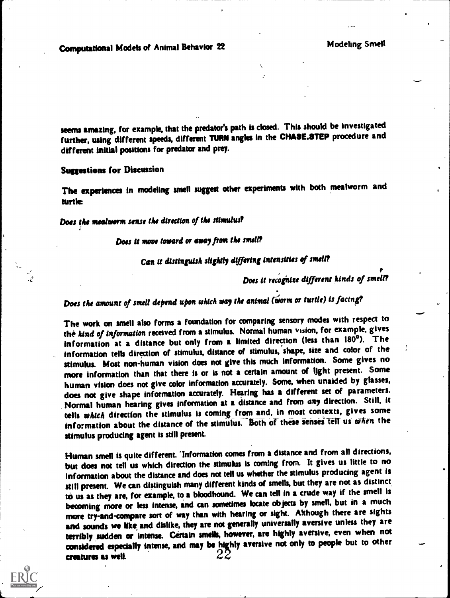seems amazing, for example, that the predator's path is closed. This should be investigated further, using different speeds, different TURN angles in the CHA\$E.8TEP procedure and different initial positions for predator and prey.

#### Suggestions for Discussion

Ż

The experiences in modeling smell suggest other experiments with both mealworm and turtle

Does the mealworm sense the direction of the stimulus?

### Does U move toward or away from the smell?

# Can it distinguish slightly differing intensities of smell?

Does U recognize different kinds of smell?

Does the amount of smell depend upon which way the animal (worm or turtle) is facing?

The work on smell also forms a foundation for comparing sensory modes with respect to the kind of information received from a stimulus. Normal human vision, for example, gives information at a distance but only from a limited direction (less than 180°). The information tells direction of stimulus, distance of stimulus, shape, size and color of the stimulus. Most non-human vision does not give this much information. Some gives no more information than that there is or is not a certain amount of light present. Some human vision does not give color information accurately. Some, when unaided by glasses, does not give shape information accurately. Hearing has a different set of parameters. Normal human hearing gives information at a distance and from any direction. Still, it tells which direction the stimulus is coming from and, in most contexts, gives some information about the distance of the stimulus. Both of these senses tell us when the stimulus producing agent is still present.

Human smell is quite different. 'Information comes from a distance and from all directions, but does not tell us which direction the stimulus is coming from. It gives us little to no information about the distance and does not tell us whether the stimulus producing agent is still present. We can distinguish many different kinds of smells, but they are not as distinct to us as they are, for example, to a bloodhound. We can tell in a crude way if the smell is becoming more or less intense, and can sometimes locate objects by smell, but in a much more try-and-compare sort of way than with hearing or sight. Although there are sights and sounds we like and dislike, they are not generally universally aversive unless they are terribly sudden or intense. Certain smells, however, are highly aversive, even when not considered especially intense, and may be highly aversive not only to people but tp other  $\frac{1}{2}$  creatures as well.  $\frac{2}{2}$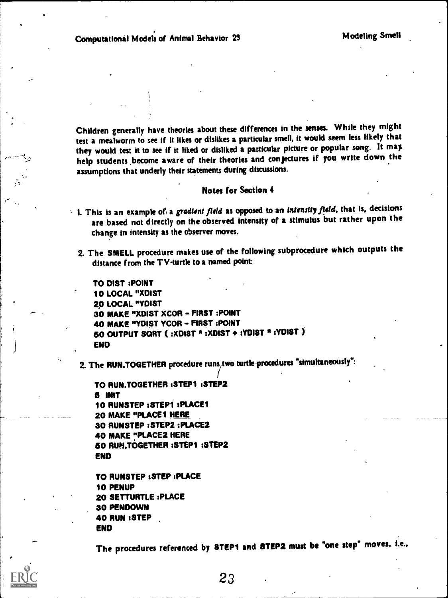Children generally have theories about these differences in the senses. While they might test a mealworm to see if it likes or dislikes a particular smell, it would seem less likely that they would test it to see if it liked or disliked a particular picture or popular song. It may help students ,become aware of their theories and conjectures if you write down the assumptions that underly their statements during discussions.

### Notes for Section 4

- I. This is an example of a gradient field as opposed to an intensity field, that is, decisions are based not directly on the observed intensity of a stimulus but rather upon the change in intensity as the observer moves.
	- 2. The SMELL procedure makes use of the following subprocedure which outputs the distance from the TV-turtle to a named point:

TO DIST :POINT 10 LOCAL "XDIST 20 LOCAL "YDIST 30 MAKE "XDIST XCOR - FIRST :POINT 40 MAKE "YDIST YCOR - FIRST :POINT 50 OUTPUT SQRT (:XDIST \* :XDIST + :YDIST \* :YDIST ) END

2. The RUN.TOGETHER procedure runs, two turtle procedures "simultaneously":

```
TO RUN.TOGETHER :STEP1 :STEP2
5 INIT
10 RUNSTEP :STEP1 sPLACEI
20 MAKE "PLACE1 HERE
30 RUNSTEP :STEP2 :PLACE2
40 MAKE "PLACE2 HERE
60 RUN.TOGETHER :STEP1 :STEP2
END
```

```
TO RUNSTEP :STEP :PLACE
10 PENUP
20 SETTURTLE :PLACE
30 PENDOWN
40 RUN :STEP
END
```
The procedures referenced by STEP1 and STEP2 must be "one step" moves, I.e..

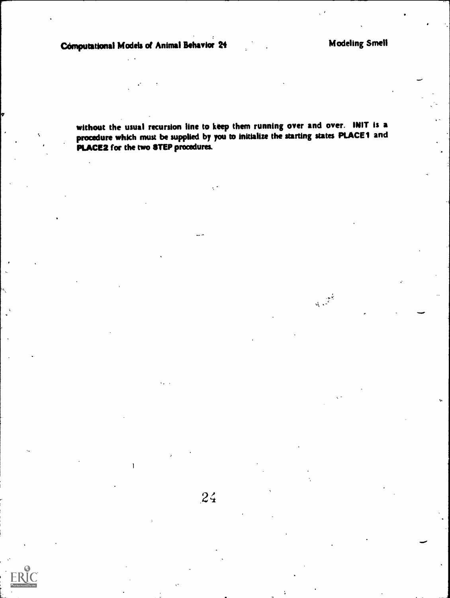1

 $24$ 

without the usual recursion line to keep them running over and over. INIT is a procedure which must be supplied by you to initialize the starting states PLACE1 and PLACE2 for the two STEP procedures.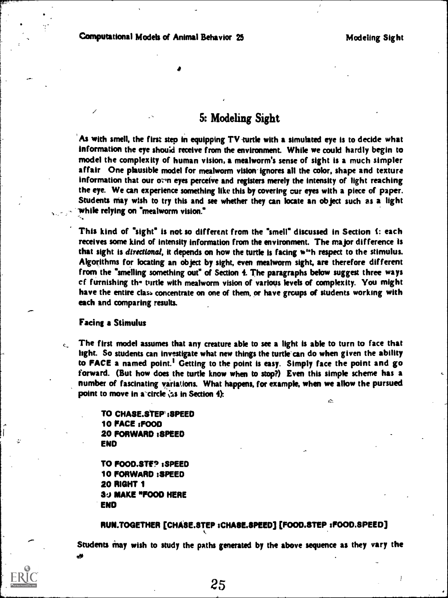# 5: Modeling Sight

As with smell, the first step in equipping TV-turtle with a simulated eye is to decide what information the eye should receive from the environment. While we could hardly begin to model the complexity of human vision, a mealworm's sense of sight is a much simpler affair One plausible model for mealworm vision-ignores all the color, shape and texture information that our over eyes perceive and registers merely the intensity of light reaching the eye. We can experience something like this by covering our eyes with a piece of paper. Students may wish to try this and see whether they can locate an object such as a light while relying on "mealworm vision."

This kind of "sight" is not so different from the "smell" discussed in Section I: each receives some kind of intensity information from the environment. The major difference is that sight is *directional*, it depends on how the turtle is facing w<sup>11</sup>h respect to the stimulus. Algorithms for locating an object by sight, even mealworm sight, are therefore different from the "smelling something out" of Section 4. The paragraphs below suggest three ways cf furnishing th- mrtle with mealworm vision of various levels of complexity. You might have the entire class concentrate on one of them, or have groups of students working with each and comparing results.

### Facing a Stimulus

The first model assumes that any creature able to see a light is able to turn to face that  $\overline{\phantom{a}}$ light. So students can investigate what new things the turtle can do when given the ability to FACE a named point.' Getting to the point is easy. Simply face the point and go forward. (But how does the turtle know when to stop?) Even this simple scheme has a number of fascinating variations. What happens, for example, when we allow the pursued point to move in a circle  $\zeta$ s in Section 4): ć.

> TO CHASE.SIEP :SPEED 10 PACE :FOOD 20 FORWARD :SPEED END

TO FOOD.STEP :SPEED 10 FORWARD :SPEED 20 RIGHT 1 30 MAKE "F000 HERE END

### RUN.TOGETHER [CHASE.STEP sCHASE.SPEED] [FOOD.STEP ,FOOD.SPEED]

Students may wish to study the paths generated by the above sequence as they vary the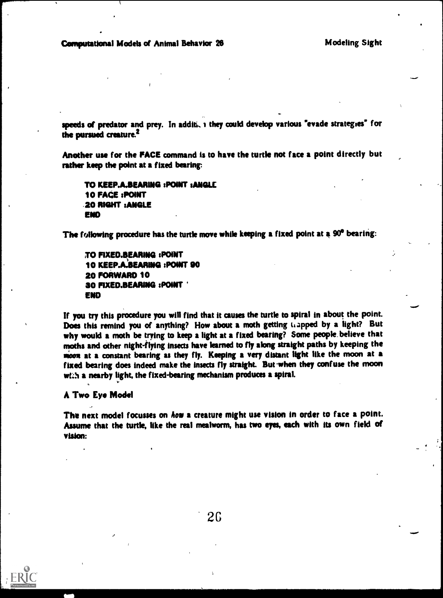speeds of predator and prey. In additi, i they could develop various "evade strategies" for the pursued creature.<sup>2</sup>

Another use for the FACE command is to have the turtle not face a point directly but rather keep the point at a fixed baring:

```
TO KEEP.A.BEARING :POINT : ANGLE
10 FACE :POINT
.20 RIGHT :ANGLE
ENO
```
The following procedure has the turtle move while keeping a fixed point at a 90° bearing:

TO FIXED.BEARING :POINT 10 KEEP.A.BEARING :POINT 00 20 FORWARD 10 30 FIXED.BEARING :POINT END

If you try this procedure you will find that it causes the turtle to spiral in about the point. Does this remind you of anything? How about a moth getting Lapped by a light? But why would a moth be trying to keep a light at a fixed bearing? Some people. believe that moths and other night-flying insects have learned to fly along straight paths by keeping the moon at a constant bearing as they fly. Keeping a very distant light like the moon at a fixed bearing does indeed make the insects fly straight. But when they confuse the moon with a nearby light, the fixed-bearing mechanism produces a spiral.

A Two Eye Model

The next model focusses on how a creature might use vision in order to face a point. Assume that the turtle, like the real mealworm, has two eyes, each with its own field of vision:

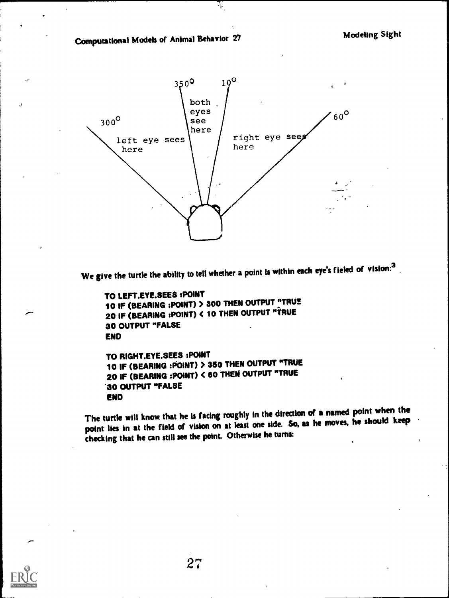Computational Models of Animal Behavior 27



Ŷ,

We give the turtle the ability to tell whether a point is within each eye's fieled of vision:<sup>3</sup>

```
TO LEFT.EYE.SEES :POINT
10 IF (BEARING :POINT) > 300 THEN OUTPUT "TRUE<br>THE REARING :POINT) > 300 THEN OUTPUT "TRUE
20 IF (BEARING :POINT) C 10 THEN OUTPUT "TRUE
30 OUTPUT "FALSE
END
TO RIGHT.EYE.SEES :POINT
10 IF (BEARING :POINT) > 350 THEN OUTPUT "TRUE
20 IF (BEARING :POINT) < 60 THEN OUTPUT "TRUE
30 OUTPUT "FALSE
```
ENO

The turtle will know that he is facing roughly in the direction of a named point when the point lies in at the field of vision on at least one side. So, as he moves, he should keep checking that he can still see the point. Otherwise he turns:

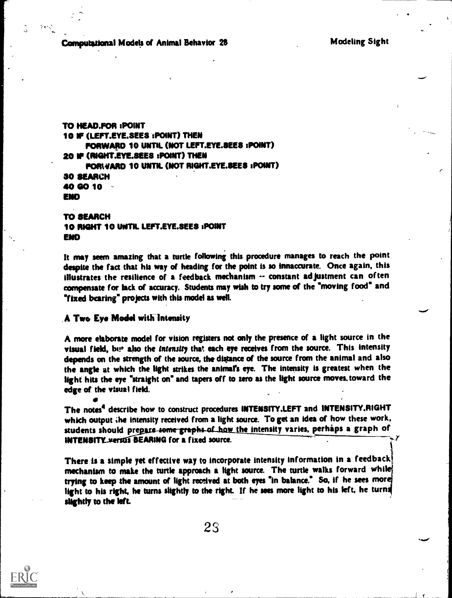Comoutational Models of Animal Behavior 28 Modeling Sight

TO HEAD.FOR :POINT 10 IF (LEFT.EYE.SEES :POINT) THEN FORWARD 10 UNTIL (NOT LEFT.EYE.SEES :POINT) 20 IF (RIGHT.EYE.SEES :POINT) THEN FORWARD 10 UNTIL (NOT RIGHT.EYE.SEES :POINT) 30 SEARCH 40 GO 10 END

TO SEARCH 10 RIGHT 10 UNTIL LEFT.EYE.SEES :POINT ENO

It may seem amazing that a turtle following this procedure manages to reach the point despite the fact that his way of heading for the point is so innaccurate. Once again, this illustrates the resilience of a feedback mechanism -- constant ad justment can often compensate for lack of accuracy. Students may wish to try some of the 'moving food" and "fixed bearing" projects with this model as well.

### A Two Eye Model with Intensity

A more elaborate model for vision registers not only the presence of a light source in the visual field, but also the intensity that each eye receives from the source. This intensity depends on the strength of the source, the distance of the source from the animal and also the angle at which the light strikes the animal's eye. The intensity is greatest when the light hits the eye \*straight on' and tapers off to zero as the light source moves. toward the edge of the visual field.

The notes<sup>4</sup> describe how to construct procedures INTENSITY.LEFT and INTENSITY.RIGHT which output he intensity received from a light source. To get an idea of how these work, students should prepare some graphs of how the intensity varies, perhaps a graph of INTENSITY versus BEARING for a fixed source.

There is a simple yet effective way to incorporate intensity information in a feedback! mechanism to make the turtle approach a light source. The turtle walks forward while trying to keep the amount of light received at both eyes 'in balance." So, if he sees nor light to his right, he turns slightly to the right. If he sees more light to his left, he turns slightly to the left.



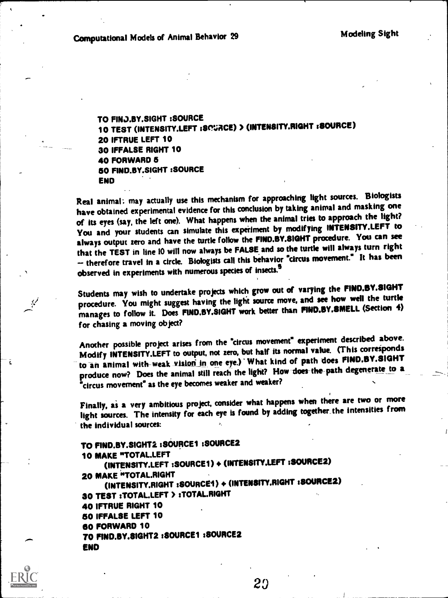ê

TO FINJ.BY.SIGHT :SOURCE 10 TEST (INTENSITY.LEFT setvACE) > (INTENSITY.RIGHT rSOURCE) 20 IFTRUE LEFT 10 30 IFFALSE RIGHT 10 40 FORWARD 6 60 FIND.BY.SIGHT :SOURCE END

Real animal: may actually use this mechanism for approaching light sources. Biologists have obtained experimental evidence for this conclusion by taking animal and masking one of its eyes (say, the left one). What happens when the animal tries to approach the light? You and your students can simulate this experiment by modifying INTENSITY.LEFT to always output zero and have the turtle follow the FIND.BY.SIGHT procedure. You can see that the TEST in line 10 will now always be FALSE and so the turtle will always turn right therefore travel in a circle. Biologists call this behavior "circus movement." It has been observed in experiments with numerous species of insects.<sup>5</sup>

Students may wish to undertake projects which grow out of varying the FINO.BY.SIGHT procedure. You might suggest having the light source move, and see how well the turtle manages to follow it. Does FIND.BY.SIGHT work better than FINO.BY.SMELL (Section 4) for chasing a moving object?

Another possible project arises from the "circus movement" experiment described above. Modify INTENSITY.LEFT to output, not zero, but half its normal value. (This corresponds to an animal with-weak vision in one eye.) What kind of path does FIND.BY.SIGHT produce now? Does the animal still reach the light? How-does-the path degenerate to a "circus movement" as the eye becomes weaker and weaker?

Finally, as a very ambitious project, consider what happens when there are two or more light sources. The intensity for each eye is found by adding together\_ the intensities from the individual sources:

## TO FIND.BY.SIGHT2 :SOURCE1 :SOURCE2 10 MAKE "TOTAL.LEFT (INTENSITY.LEFT :SOURCE1) + (INTENSITY.LEFT :SOURCE2)<br>20 MAKE "TOTAL.RIGHT 20 MAKE "TOTAL.RIGHT (INTENSITY.RIGHT :SOURCE1) 4. (INTENSITY.RIGHT :SOURCE2) 30 TEST sTOTALLEFT > sTOTAL.RIGHT 40 IFTRUE RIGHT 10 50 IFFALSE LEFT 10 60 FORWARD 10 TO FIND.BY.SIGHT2 sSOURCE1 :SOURCE2 END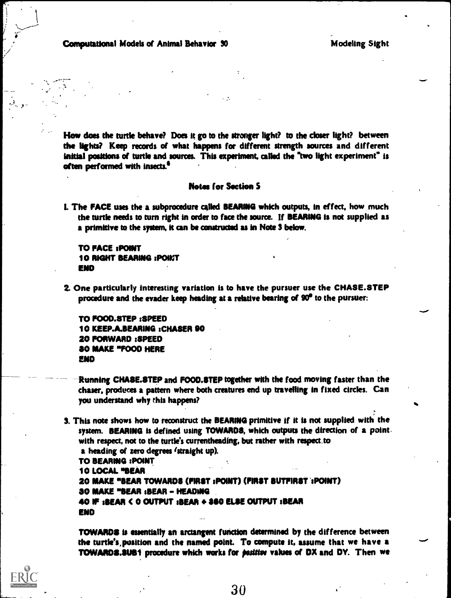Computational Models of Animal Behavior 30 Modeling Sight

How does the turtle behave? Does it go to the stronger light? to the closer light? between the lights? Keep records of what happens for different strength sources and different initial positions of turtle and sources. This experiment, called the "two light experiment" is often performed with insects.

### **Notes for Section 5**

L The FACE uses the a subprocedure called BEARING which outputs, in effect, how much the turtle needs to turn right in order to face the source. If BEARING is not supplied as a primitive to the system, it can be constructed as in Note 3 below.

**TO FACE : POINT** 10 RIGHT BEARING : POINT END

2. One particularly interesting variation is to have the pursuer use the CHASE.STEP procedure and the evader keep heading at a relative bearing of 90" to the pursuer:

TO FOOD.BTEP :SPEED 10 KEEP.A.BEARING :CHASER 00 20 FORWARD :SPEED BO MAKE \*FOOD HERE END

- -Running CHASE.STEP and FOOD.STEP together with the food moving faster than the chaser, produces a pattern where both creatures end up travelling in fixed circles. Can you understand why this happens?
- & This note shows how to reconstruct the BEARING primitive if it is not supplied with the system. BEARING is defined using TOWARDS, which outputs the direction of a point. with respect, not to the turtle's currentheading, but rather with respect.to a heading of zero degrees 'straight up). TO BEARING :POINT 10 LOCAL "BEAR 20 MAKE "BEAR TOWARDS (FIRST :POINT) (FIRST BUTFIRST ':POINT) 30 MAKE \*BEAR :BEAR - HEADING 40 IF :BEAR < 0 OUTPUT :BEAR F SSO ELSE OUTPUT :BEAR END

TOWARDS is essentially an arctangent fwiction determined by the difference between the turtle's,position and the named point. To compute it, assume that we have a TOWARDS.SUB1 procedure which works for *positive* values of DX and DY. Then we

30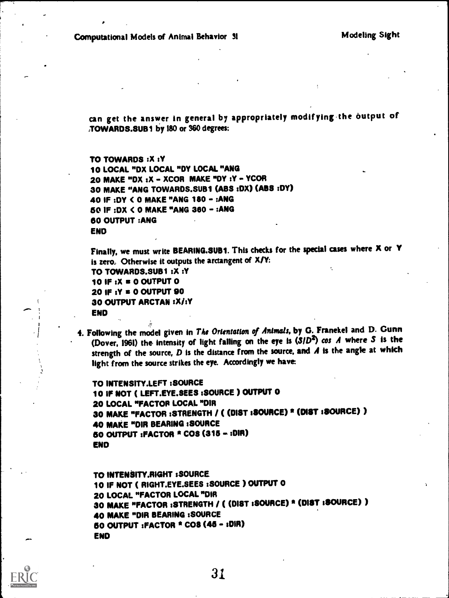can get the answer in general by appropriately modifying the output of NOWARDS.SUB1 by 180 or 360 degrees:

TO TOWARDS :X :Y 10 LOCAL "DX LOCAL "DY LOCAL "ANG 20 MAKE "DX : X - XCOR MAKE "DY : Y - YCOR 30 MAKE "ANG TOWARDS.SUB1 (ABS :DX) (ABS :DY) 40 IF :DY (0 MAKE "ANG 180 - :ANG 60 IF :DX ( 0 MAKE "ANG 380 - :ANG 60 OUTPUT :ANG END

Finally, we must write BEARING.SUB1. This checks for the special cases where X or Y is zero, Otherwise it outputs the arctangent of X/Y: TO TOWARDS.SUB1 :X :Y 10 IF :X s 0 OUTPUT 0 20 IF :Y s 0 OUTPUT 90 30 OUTPUT ARCTAN : X/:Y END

4. Following the model given in The Orientation of Animals, by G. Franekel and D. Gunn (Dover, 1961) the intensity of light falling on the eye is  $(S/D^2)$  cos A where S is the strength of the source,  $D$  is the distance from the source, and  $A$  is the angle at which light from the source strikes the eye. Accordingly we have

```
TO INTENSITY.LEFT :SOURCE
10 IF NOT ( LEFT.EYE.SEES :SOURCE ) OUTPUT 0
20 LOCAL "FACTOR LOCAL "DIR
30 MAKE "FACTOR :STRENGTH / ( (DIST :SOURCE) * (DIST :SOURCE) )
40 MAKE "DIR BEARING :SOURCE
60 OUTPUT :FACTOR * COS (315 - :01R)
END
```
TO INTENSITY.RIGHT :SOURCE 10 IF NOT ( RIGHT.EYE.SEES :SOURCE ) OUTPUT 0 20 LOCAL "FACTOR LOCAL "DIR 30 MAKE "FACTOR :STRENGTH / ( (DIST :SOURCE) \* (DIST :SOURCE) ) 40 MAKE "DIR BEARING :SOURCE 50 OUTPUT :FACTOR \* COS (46 - :DIR) END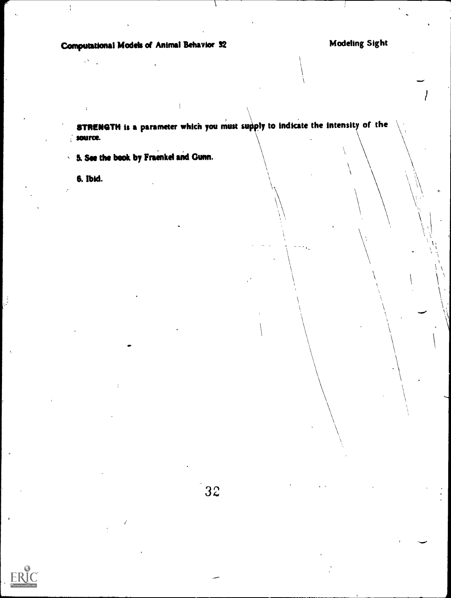Computational Models of Animal Behavior 32 Modeling Sight

STRENGTH is a parameter which you must supply to indicate the intensity of the source. Ť

5. See the book by Fraenkel and Gunn. k.

6. Ibid.

 $\frac{1}{4}$ 

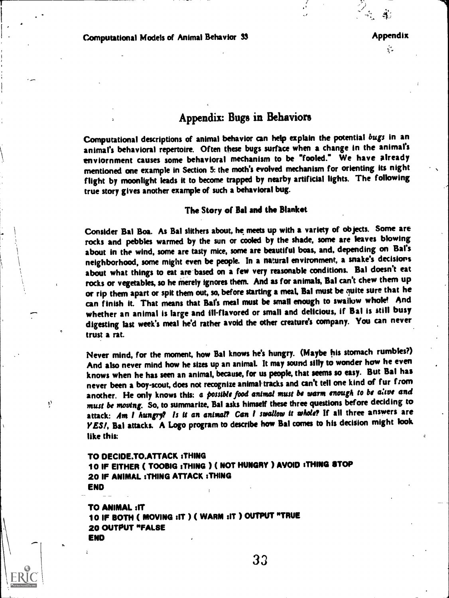# Appendix: Bugs in Behaviors

Computational descriptions of animal behavior can help explain the potential bugs in an animal's behavioral repertoire. Often these bugs surface when a change in the animal's enviornment causes some behavioral mechanism to be 'Tooled.\* We have already mentioned one example in Section 5: the moth's evolved mechanism for orienting its night flight by moonlight leads it to become trapped by nearby artificial lights. The following true story gives another example of such a behavioral bug.

### The Story of Bal and the Blanket

Consider Bal Boa. As Bal slithers about, he meets up with a variety of objects. Some are rocks and pebbles warmed by the sun or cooled by the shade, some are leaves blowing about in the wind, some are tasty mice, some are beautiful boas, and, depending on Bal's neighborhood, some might even be people. In a natural environment, a snake's decisions about what things to eat are-based on a few very reasonable conditions. Bal doesn't eat rocks or vegetables, so he merely ignores them. And as for animals, Bal can't chew them up or rip them apart or spit them out, so, before starting a meal, Bal must be quite sure that he can finish it. That means that Bai's meal must be small enough to swallow whole! And whether an animal is large and ill-flavored or small and delicious, if Bal is still busy digesting last week's meal he'd rather avoid the other creature's company. You can never trust a rat.

Never mind, for the moment, how Bal knows he's hungry. (Maybe his stomach rumbles?) And also never mind how he sizes up an animal. It may sound silly to wonder how he even knows when he has seen an animal, because, for us people, that seems so easy. But Bal has never been a boy-scout, does not recognize animal tracks and can't tell one kind of fur from another. He only knows this: a possible food animal must be warm enough to be alive and must be moving. So, to summarize, Bal asks himself these three questions before deciding to attack: Am 1 hungry? Is it an animal? Can I swallow tt whole? If all three answers are YES!, Bal attacks. A Logo program to describe how Bal comes to his decision might look like this:

TO DECIDE.TO.ATTACK :THING

 $\mathbf{S}$ 

10 IF EITHER ( TOOBIG :THING ) ( NOT HUNGRY ) AVOID :THING STOP 20 IF ANIMAL :THING ATTACK :THING END

TO ANIMAL :IT 10 IF BOTH ( MOVING :IT) ( WARM :IT ) OUTPUT "TRUE 20 OUTPUT "FALSE END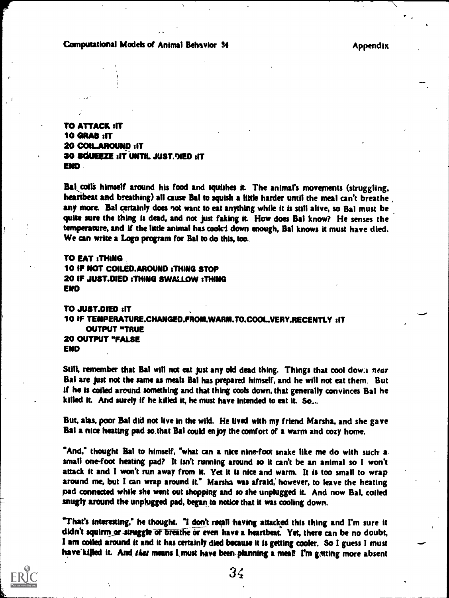## Computational Models of Animal Behavior 34 Appendix

TO ATTACK :IT 10 GRAS :IT 20 COILAROUND sIT 30 SOMME :IT UNTIL JUST.NED sIT END-

Bal coils himself around his food and squishes it. The animal's movements (struggling, heartheat and breathing) all cause Bat to squish a little harder until the meal can't breathe , any more. Bal certainly does not want to eat anything while it is still alive, so Bal must be quite sure the thing is dead, and not just faking it. How does Bal know? He senses the temperature, and if the little animal has cooled down enough, Bal knows it must have died. We can write a Logo program for Bal to do this, too.

TO EAT :THING 10 IF NOT COILED.AROUND :THING STOP 20 IF JUST.DIED :THING SWALLOW :THING ENO

TO JUST.DIED :IT 10 IF TEMPERATURE.CHANGED.FROM.WARM.TO.COOL.VERY.RECENTLY :IT OUTPUT "TRUE 20 OUTPUT "FALSE ENO

Still, remember that Bal will not eat just any old dead thing. Things that cool dow: near Bal are just not the same as meals Bal has prepared himself, and he will not eat them. But if he is coiled around something and that thing cools down, that generally convinces Bat he killed it. And surely if he killed it, he must have intended to eat it. So....

But, alas, poor Bal did not live in the wild. He lived with my friend Marsha, and she gave Bal a nice heating pad so,that Bal could enjoy the comfort of a warm and cozy home.

"And," thought Bal to himself, "what can a nice nine-foot snake like me do with such a small one-foot heating pad? It isn't running around so it can't be an animal so I won't attack it and I won't run away from it. Yet it is nice and warm. It is too small to wrap around me, but I can wrap around it." Marsha was afraid; however, to leave the heating pad connected while she went out shopping and so she unplugged it. And now Bal, coiled snugly around the unplugged pad, began to notice that it was cooling down.

"That's interesting," he thought. "I don't recall having attacked this thing and I'm sure it didn't squirm or struggle or breathe or even have a heartbeat. Yet, there can be no doubt, I an coiled around it and it has certainly died because it is getting cooler. So I guess I must have killed it. And that means I must have been planning a meal! I'm getting more absent

34